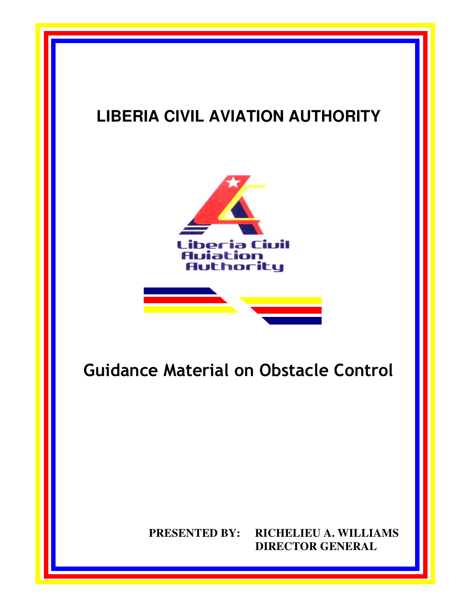## **LIBERIA CIVIL AVIATION AUTHORITY**

LCAA Annual Report

July 1, 2008 – June 30, 2009





# Guidance Material on Obstacle Control

## **PRESENTED BY: RICHELIEU A. WILLIAMS DIRECTOR GENERAL**

**i**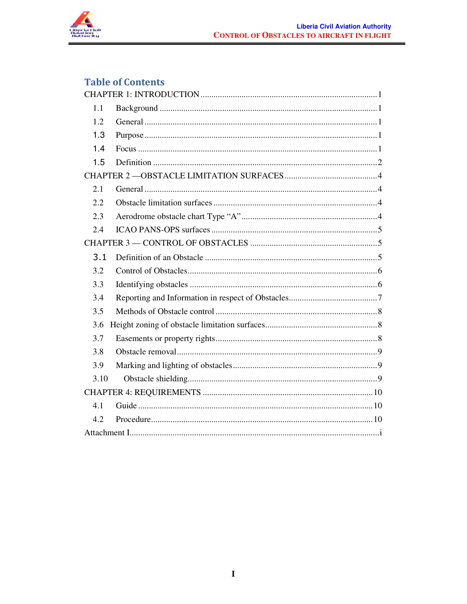

## **Table of Contents**

| 1.1  |  |
|------|--|
| 1.2  |  |
| 1.3  |  |
| 1.4  |  |
| 1.5  |  |
|      |  |
| 2.1  |  |
| 2.2  |  |
| 2.3  |  |
| 2.4  |  |
|      |  |
| 3.1  |  |
| 3.2  |  |
| 3.3  |  |
| 3.4  |  |
| 3.5  |  |
| 3.6  |  |
| 3.7  |  |
| 3.8  |  |
| 3.9  |  |
| 3.10 |  |
|      |  |
| 4.1  |  |
| 4.2  |  |
|      |  |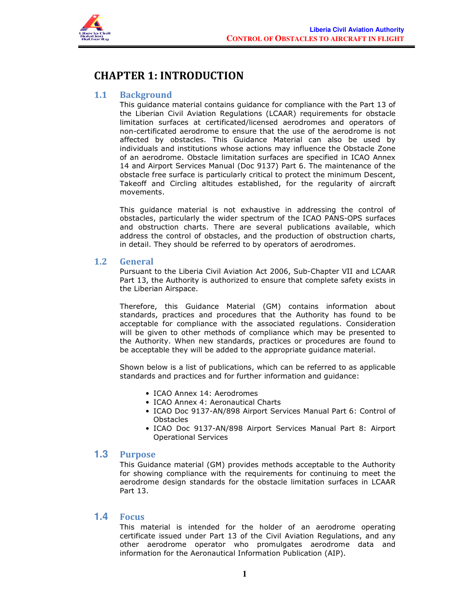

## CHAPTER 1: INTRODUCTION

#### 1.1 Background

This guidance material contains guidance for compliance with the Part 13 of the Liberian Civil Aviation Regulations (LCAAR) requirements for obstacle limitation surfaces at certificated/licensed aerodromes and operators of non-certificated aerodrome to ensure that the use of the aerodrome is not affected by obstacles. This Guidance Material can also be used by individuals and institutions whose actions may influence the Obstacle Zone of an aerodrome. Obstacle limitation surfaces are specified in ICAO Annex 14 and Airport Services Manual (Doc 9137) Part 6. The maintenance of the obstacle free surface is particularly critical to protect the minimum Descent, Takeoff and Circling altitudes established, for the regularity of aircraft movements.

This guidance material is not exhaustive in addressing the control of obstacles, particularly the wider spectrum of the ICAO PANS-OPS surfaces and obstruction charts. There are several publications available, which address the control of obstacles, and the production of obstruction charts, in detail. They should be referred to by operators of aerodromes.

#### 1.2 General

Pursuant to the Liberia Civil Aviation Act 2006, Sub-Chapter VII and LCAAR Part 13, the Authority is authorized to ensure that complete safety exists in the Liberian Airspace.

Therefore, this Guidance Material (GM) contains information about standards, practices and procedures that the Authority has found to be acceptable for compliance with the associated regulations. Consideration will be given to other methods of compliance which may be presented to the Authority. When new standards, practices or procedures are found to be acceptable they will be added to the appropriate guidance material.

Shown below is a list of publications, which can be referred to as applicable standards and practices and for further information and guidance:

- ICAO Annex 14: Aerodromes
- ICAO Annex 4: Aeronautical Charts
- ICAO Doc 9137-AN/898 Airport Services Manual Part 6: Control of Obstacles
- ICAO Doc 9137-AN/898 Airport Services Manual Part 8: Airport Operational Services

#### **1.3** Purpose

This Guidance material (GM) provides methods acceptable to the Authority for showing compliance with the requirements for continuing to meet the aerodrome design standards for the obstacle limitation surfaces in LCAAR Part 13.

#### **1.4** Focus

This material is intended for the holder of an aerodrome operating certificate issued under Part 13 of the Civil Aviation Regulations, and any other aerodrome operator who promulgates aerodrome data and information for the Aeronautical Information Publication (AIP).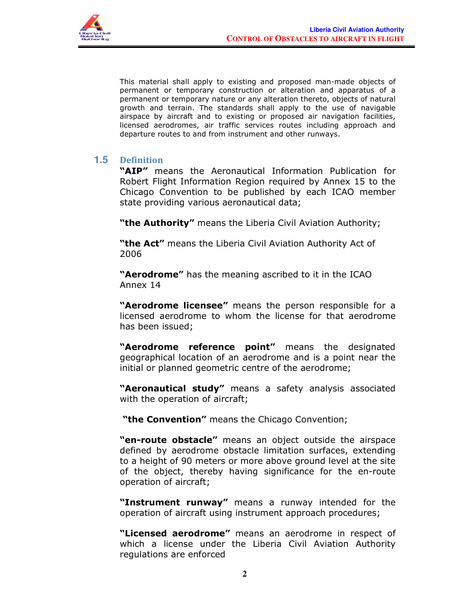

This material shall apply to existing and proposed man-made objects of permanent or temporary construction or alteration and apparatus of a permanent or temporary nature or any alteration thereto, objects of natural growth and terrain. The standards shall apply to the use of navigable airspace by aircraft and to existing or proposed air navigation facilities, licensed aerodromes, air traffic services routes including approach and departure routes to and from instrument and other runways.

#### **1.5** Definition

"AIP" means the Aeronautical Information Publication for Robert Flight Information Region required by Annex 15 to the Chicago Convention to be published by each ICAO member state providing various aeronautical data;

"the Authority" means the Liberia Civil Aviation Authority;

"the Act" means the Liberia Civil Aviation Authority Act of 2006

"**Aerodrome"** has the meaning ascribed to it in the ICAO Annex 14

"Aerodrome licensee" means the person responsible for a licensed aerodrome to whom the license for that aerodrome has been issued;

"Aerodrome reference point" means the designated geographical location of an aerodrome and is a point near the initial or planned geometric centre of the aerodrome;

"Aeronautical study" means a safety analysis associated with the operation of aircraft;

"the Convention" means the Chicago Convention;

"en-route obstacle" means an object outside the airspace defined by aerodrome obstacle limitation surfaces, extending to a height of 90 meters or more above ground level at the site of the object, thereby having significance for the en-route operation of aircraft;

"Instrument runway" means a runway intended for the operation of aircraft using instrument approach procedures;

"Licensed aerodrome" means an aerodrome in respect of which a license under the Liberia Civil Aviation Authority regulations are enforced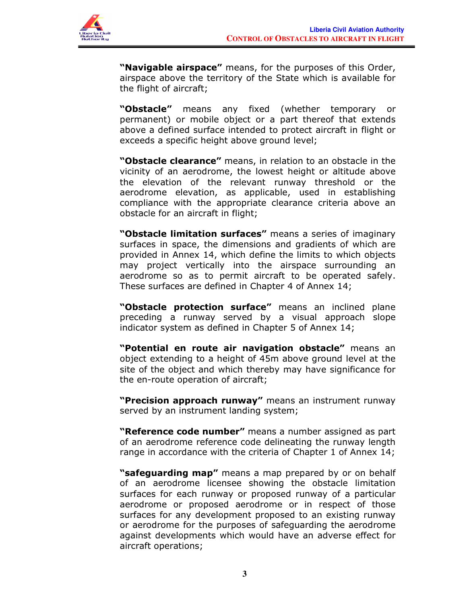

"Navigable airspace" means, for the purposes of this Order, airspace above the territory of the State which is available for the flight of aircraft;

"Obstacle" means any fixed (whether temporary or permanent) or mobile object or a part thereof that extends above a defined surface intended to protect aircraft in flight or exceeds a specific height above ground level;

"Obstacle clearance" means, in relation to an obstacle in the vicinity of an aerodrome, the lowest height or altitude above the elevation of the relevant runway threshold or the aerodrome elevation, as applicable, used in establishing compliance with the appropriate clearance criteria above an obstacle for an aircraft in flight;

**"Obstacle limitation surfaces"** means a series of imaginary surfaces in space, the dimensions and gradients of which are provided in Annex 14, which define the limits to which objects may project vertically into the airspace surrounding an aerodrome so as to permit aircraft to be operated safely. These surfaces are defined in Chapter 4 of Annex 14;

"Obstacle protection surface" means an inclined plane preceding a runway served by a visual approach slope indicator system as defined in Chapter 5 of Annex 14;

"Potential en route air navigation obstacle" means an object extending to a height of 45m above ground level at the site of the object and which thereby may have significance for the en-route operation of aircraft;

"Precision approach runway" means an instrument runway served by an instrument landing system;

**"Reference code number"** means a number assigned as part of an aerodrome reference code delineating the runway length range in accordance with the criteria of Chapter 1 of Annex 14;

"safeguarding map" means a map prepared by or on behalf of an aerodrome licensee showing the obstacle limitation surfaces for each runway or proposed runway of a particular aerodrome or proposed aerodrome or in respect of those surfaces for any development proposed to an existing runway or aerodrome for the purposes of safeguarding the aerodrome against developments which would have an adverse effect for aircraft operations;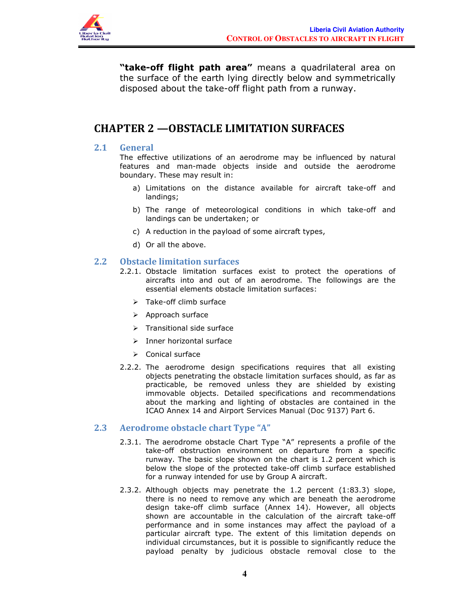

"take-off flight path area" means a quadrilateral area on the surface of the earth lying directly below and symmetrically disposed about the take-off flight path from a runway.

### CHAPTER 2 —OBSTACLE LIMITATION SURFACES

#### 2.1 General

The effective utilizations of an aerodrome may be influenced by natural features and man-made objects inside and outside the aerodrome boundary. These may result in:

- a) Limitations on the distance available for aircraft take-off and landings;
- b) The range of meteorological conditions in which take-off and landings can be undertaken; or
- c) A reduction in the payload of some aircraft types,
- d) Or all the above.

#### 2.2 Obstacle limitation surfaces

- 2.2.1. Obstacle limitation surfaces exist to protect the operations of aircrafts into and out of an aerodrome. The followings are the essential elements obstacle limitation surfaces:
	- $\triangleright$  Take-off climb surface
	- $\triangleright$  Approach surface
	- $\triangleright$  Transitional side surface
	- $\triangleright$  Inner horizontal surface
	- $\triangleright$  Conical surface
- 2.2.2. The aerodrome design specifications requires that all existing objects penetrating the obstacle limitation surfaces should, as far as practicable, be removed unless they are shielded by existing immovable objects. Detailed specifications and recommendations about the marking and lighting of obstacles are contained in the ICAO Annex 14 and Airport Services Manual (Doc 9137) Part 6.

#### 2.3 Aerodrome obstacle chart Type "A"

- 2.3.1. The aerodrome obstacle Chart Type "A" represents a profile of the take-off obstruction environment on departure from a specific runway. The basic slope shown on the chart is 1.2 percent which is below the slope of the protected take-off climb surface established for a runway intended for use by Group A aircraft.
- 2.3.2. Although objects may penetrate the 1.2 percent (1:83.3) slope, there is no need to remove any which are beneath the aerodrome design take-off climb surface (Annex 14). However, all objects shown are accountable in the calculation of the aircraft take-off performance and in some instances may affect the payload of a particular aircraft type. The extent of this limitation depends on individual circumstances, but it is possible to significantly reduce the payload penalty by judicious obstacle removal close to the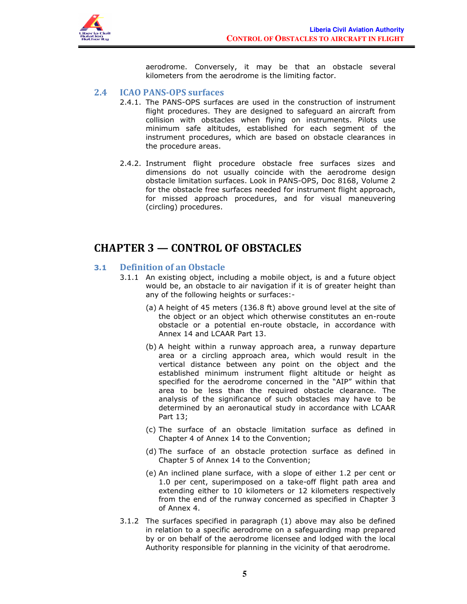

aerodrome. Conversely, it may be that an obstacle several kilometers from the aerodrome is the limiting factor.

#### 2.4 ICAO PANS-OPS surfaces

- 2.4.1. The PANS-OPS surfaces are used in the construction of instrument flight procedures. They are designed to safeguard an aircraft from collision with obstacles when flying on instruments. Pilots use minimum safe altitudes, established for each segment of the instrument procedures, which are based on obstacle clearances in the procedure areas.
- 2.4.2. Instrument flight procedure obstacle free surfaces sizes and dimensions do not usually coincide with the aerodrome design obstacle limitation surfaces. Look in PANS-OPS, Doc 8168, Volume 2 for the obstacle free surfaces needed for instrument flight approach, for missed approach procedures, and for visual maneuvering (circling) procedures.

### CHAPTER 3 — CONTROL OF OBSTACLES

#### 3.1 Definition of an Obstacle

- 3.1.1 An existing object, including a mobile object, is and a future object would be, an obstacle to air navigation if it is of greater height than any of the following heights or surfaces:-
	- (a) A height of 45 meters (136.8 ft) above ground level at the site of the object or an object which otherwise constitutes an en-route obstacle or a potential en-route obstacle, in accordance with Annex 14 and LCAAR Part 13.
	- (b) A height within a runway approach area, a runway departure area or a circling approach area, which would result in the vertical distance between any point on the object and the established minimum instrument flight altitude or height as specified for the aerodrome concerned in the "AIP" within that area to be less than the required obstacle clearance. The analysis of the significance of such obstacles may have to be determined by an aeronautical study in accordance with LCAAR Part 13;
	- (c) The surface of an obstacle limitation surface as defined in Chapter 4 of Annex 14 to the Convention;
	- (d) The surface of an obstacle protection surface as defined in Chapter 5 of Annex 14 to the Convention;
	- (e) An inclined plane surface, with a slope of either 1.2 per cent or 1.0 per cent, superimposed on a take-off flight path area and extending either to 10 kilometers or 12 kilometers respectively from the end of the runway concerned as specified in Chapter 3 of Annex 4.
- 3.1.2 The surfaces specified in paragraph (1) above may also be defined in relation to a specific aerodrome on a safeguarding map prepared by or on behalf of the aerodrome licensee and lodged with the local Authority responsible for planning in the vicinity of that aerodrome.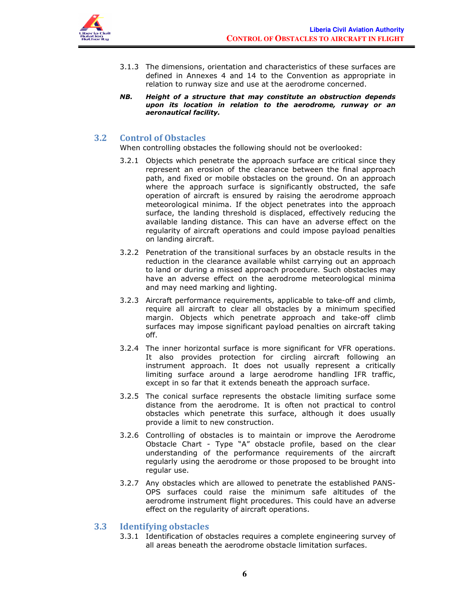

- 3.1.3 The dimensions, orientation and characteristics of these surfaces are defined in Annexes 4 and 14 to the Convention as appropriate in relation to runway size and use at the aerodrome concerned.
- NB. Height of a structure that may constitute an obstruction depends upon its location in relation to the aerodrome, runway or an aeronautical facility.

#### 3.2 Control of Obstacles

When controlling obstacles the following should not be overlooked:

- 3.2.1 Objects which penetrate the approach surface are critical since they represent an erosion of the clearance between the final approach path, and fixed or mobile obstacles on the ground. On an approach where the approach surface is significantly obstructed, the safe operation of aircraft is ensured by raising the aerodrome approach meteorological minima. If the object penetrates into the approach surface, the landing threshold is displaced, effectively reducing the available landing distance. This can have an adverse effect on the regularity of aircraft operations and could impose payload penalties on landing aircraft.
- 3.2.2 Penetration of the transitional surfaces by an obstacle results in the reduction in the clearance available whilst carrying out an approach to land or during a missed approach procedure. Such obstacles may have an adverse effect on the aerodrome meteorological minima and may need marking and lighting.
- 3.2.3 Aircraft performance requirements, applicable to take-off and climb, require all aircraft to clear all obstacles by a minimum specified margin. Objects which penetrate approach and take-off climb surfaces may impose significant payload penalties on aircraft taking off.
- 3.2.4 The inner horizontal surface is more significant for VFR operations. It also provides protection for circling aircraft following an instrument approach. It does not usually represent a critically limiting surface around a large aerodrome handling IFR traffic, except in so far that it extends beneath the approach surface.
- 3.2.5 The conical surface represents the obstacle limiting surface some distance from the aerodrome. It is often not practical to control obstacles which penetrate this surface, although it does usually provide a limit to new construction.
- 3.2.6 Controlling of obstacles is to maintain or improve the Aerodrome Obstacle Chart - Type "A" obstacle profile, based on the clear understanding of the performance requirements of the aircraft regularly using the aerodrome or those proposed to be brought into regular use.
- 3.2.7 Any obstacles which are allowed to penetrate the established PANS-OPS surfaces could raise the minimum safe altitudes of the aerodrome instrument flight procedures. This could have an adverse effect on the regularity of aircraft operations.

#### 3.3 Identifying obstacles

3.3.1 Identification of obstacles requires a complete engineering survey of all areas beneath the aerodrome obstacle limitation surfaces.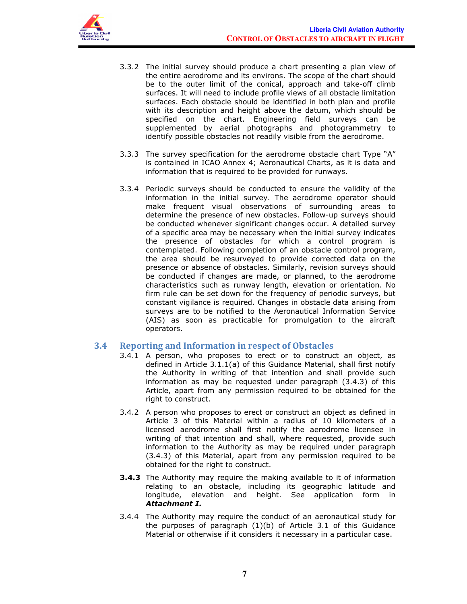

- 3.3.2 The initial survey should produce a chart presenting a plan view of the entire aerodrome and its environs. The scope of the chart should be to the outer limit of the conical, approach and take-off climb surfaces. It will need to include profile views of all obstacle limitation surfaces. Each obstacle should be identified in both plan and profile with its description and height above the datum, which should be specified on the chart. Engineering field surveys can be supplemented by aerial photographs and photogrammetry to identify possible obstacles not readily visible from the aerodrome.
- 3.3.3 The survey specification for the aerodrome obstacle chart Type "A" is contained in ICAO Annex 4; Aeronautical Charts, as it is data and information that is required to be provided for runways.
- 3.3.4 Periodic surveys should be conducted to ensure the validity of the information in the initial survey. The aerodrome operator should make frequent visual observations of surrounding areas to determine the presence of new obstacles. Follow-up surveys should be conducted whenever significant changes occur. A detailed survey of a specific area may be necessary when the initial survey indicates the presence of obstacles for which a control program is contemplated. Following completion of an obstacle control program, the area should be resurveyed to provide corrected data on the presence or absence of obstacles. Similarly, revision surveys should be conducted if changes are made, or planned, to the aerodrome characteristics such as runway length, elevation or orientation. No firm rule can be set down for the frequency of periodic surveys, but constant vigilance is required. Changes in obstacle data arising from surveys are to be notified to the Aeronautical Information Service (AIS) as soon as practicable for promulgation to the aircraft operators.

#### 3.4 Reporting and Information in respect of Obstacles

- 3.4.1 A person, who proposes to erect or to construct an object, as defined in Article 3.1.1(a) of this Guidance Material, shall first notify the Authority in writing of that intention and shall provide such information as may be requested under paragraph (3.4.3) of this Article, apart from any permission required to be obtained for the right to construct.
- 3.4.2 A person who proposes to erect or construct an object as defined in Article 3 of this Material within a radius of 10 kilometers of a licensed aerodrome shall first notify the aerodrome licensee in writing of that intention and shall, where requested, provide such information to the Authority as may be required under paragraph (3.4.3) of this Material, apart from any permission required to be obtained for the right to construct.
- **3.4.3** The Authority may require the making available to it of information relating to an obstacle, including its geographic latitude and longitude, elevation and height. See application form in Attachment I.
- 3.4.4 The Authority may require the conduct of an aeronautical study for the purposes of paragraph  $(1)(b)$  of Article 3.1 of this Guidance Material or otherwise if it considers it necessary in a particular case.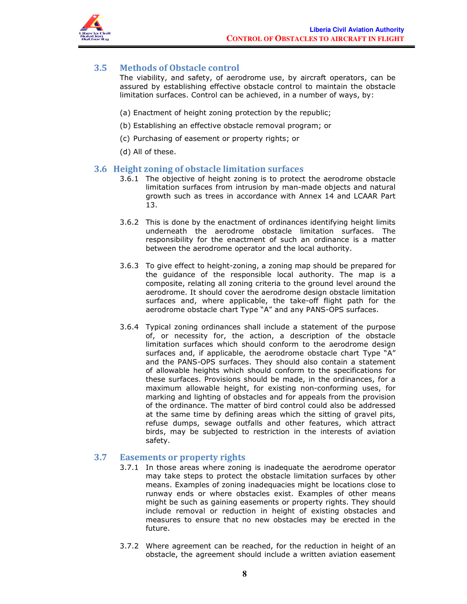

#### 3.5 Methods of Obstacle control

The viability, and safety, of aerodrome use, by aircraft operators, can be assured by establishing effective obstacle control to maintain the obstacle limitation surfaces. Control can be achieved, in a number of ways, by:

- (a) Enactment of height zoning protection by the republic;
- (b) Establishing an effective obstacle removal program; or
- (c) Purchasing of easement or property rights; or
- (d) All of these.

#### 3.6 Height zoning of obstacle limitation surfaces

- 3.6.1 The objective of height zoning is to protect the aerodrome obstacle limitation surfaces from intrusion by man-made objects and natural growth such as trees in accordance with Annex 14 and LCAAR Part 13.
- 3.6.2 This is done by the enactment of ordinances identifying height limits underneath the aerodrome obstacle limitation surfaces. The responsibility for the enactment of such an ordinance is a matter between the aerodrome operator and the local authority.
- 3.6.3 To give effect to height-zoning, a zoning map should be prepared for the guidance of the responsible local authority. The map is a composite, relating all zoning criteria to the ground level around the aerodrome. It should cover the aerodrome design obstacle limitation surfaces and, where applicable, the take-off flight path for the aerodrome obstacle chart Type "A" and any PANS-OPS surfaces.
- 3.6.4 Typical zoning ordinances shall include a statement of the purpose of, or necessity for, the action, a description of the obstacle limitation surfaces which should conform to the aerodrome design surfaces and, if applicable, the aerodrome obstacle chart Type "A" and the PANS-OPS surfaces. They should also contain a statement of allowable heights which should conform to the specifications for these surfaces. Provisions should be made, in the ordinances, for a maximum allowable height, for existing non-conforming uses, for marking and lighting of obstacles and for appeals from the provision of the ordinance. The matter of bird control could also be addressed at the same time by defining areas which the sitting of gravel pits, refuse dumps, sewage outfalls and other features, which attract birds, may be subjected to restriction in the interests of aviation safety.

#### 3.7 Easements or property rights

- 3.7.1 In those areas where zoning is inadequate the aerodrome operator may take steps to protect the obstacle limitation surfaces by other means. Examples of zoning inadequacies might be locations close to runway ends or where obstacles exist. Examples of other means might be such as gaining easements or property rights. They should include removal or reduction in height of existing obstacles and measures to ensure that no new obstacles may be erected in the future.
- 3.7.2 Where agreement can be reached, for the reduction in height of an obstacle, the agreement should include a written aviation easement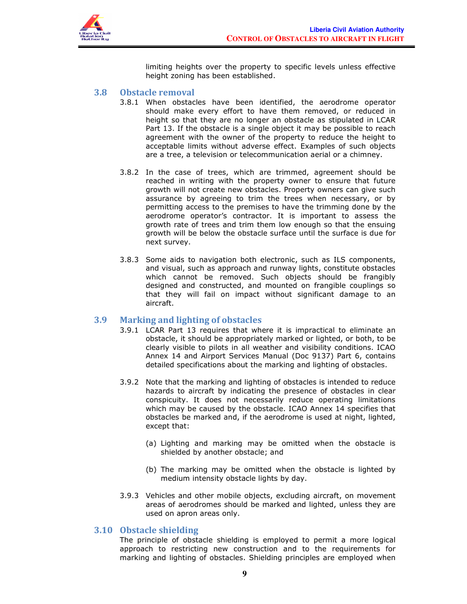

limiting heights over the property to specific levels unless effective height zoning has been established.

#### 3.8 Obstacle removal

- 3.8.1 When obstacles have been identified, the aerodrome operator should make every effort to have them removed, or reduced in height so that they are no longer an obstacle as stipulated in LCAR Part 13. If the obstacle is a single object it may be possible to reach agreement with the owner of the property to reduce the height to acceptable limits without adverse effect. Examples of such objects are a tree, a television or telecommunication aerial or a chimney.
- 3.8.2 In the case of trees, which are trimmed, agreement should be reached in writing with the property owner to ensure that future growth will not create new obstacles. Property owners can give such assurance by agreeing to trim the trees when necessary, or by permitting access to the premises to have the trimming done by the aerodrome operator's contractor. It is important to assess the growth rate of trees and trim them low enough so that the ensuing growth will be below the obstacle surface until the surface is due for next survey.
- 3.8.3 Some aids to navigation both electronic, such as ILS components, and visual, such as approach and runway lights, constitute obstacles which cannot be removed. Such objects should be frangibly designed and constructed, and mounted on frangible couplings so that they will fail on impact without significant damage to an aircraft.

#### 3.9 Marking and lighting of obstacles

- 3.9.1 LCAR Part 13 requires that where it is impractical to eliminate an obstacle, it should be appropriately marked or lighted, or both, to be clearly visible to pilots in all weather and visibility conditions. ICAO Annex 14 and Airport Services Manual (Doc 9137) Part 6, contains detailed specifications about the marking and lighting of obstacles.
- 3.9.2 Note that the marking and lighting of obstacles is intended to reduce hazards to aircraft by indicating the presence of obstacles in clear conspicuity. It does not necessarily reduce operating limitations which may be caused by the obstacle. ICAO Annex 14 specifies that obstacles be marked and, if the aerodrome is used at night, lighted, except that:
	- (a) Lighting and marking may be omitted when the obstacle is shielded by another obstacle; and
	- (b) The marking may be omitted when the obstacle is lighted by medium intensity obstacle lights by day.
- 3.9.3 Vehicles and other mobile objects, excluding aircraft, on movement areas of aerodromes should be marked and lighted, unless they are used on apron areas only.

#### 3.10 Obstacle shielding

The principle of obstacle shielding is employed to permit a more logical approach to restricting new construction and to the requirements for marking and lighting of obstacles. Shielding principles are employed when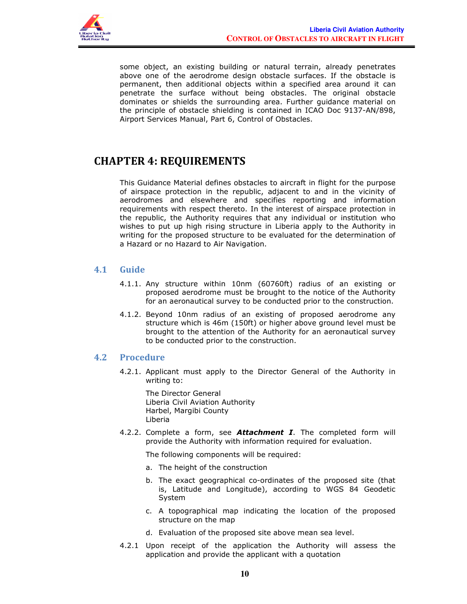

some object, an existing building or natural terrain, already penetrates above one of the aerodrome design obstacle surfaces. If the obstacle is permanent, then additional objects within a specified area around it can penetrate the surface without being obstacles. The original obstacle dominates or shields the surrounding area. Further guidance material on the principle of obstacle shielding is contained in ICAO Doc 9137-AN/898, Airport Services Manual, Part 6, Control of Obstacles.

## CHAPTER 4: REQUIREMENTS

This Guidance Material defines obstacles to aircraft in flight for the purpose of airspace protection in the republic, adjacent to and in the vicinity of aerodromes and elsewhere and specifies reporting and information requirements with respect thereto. In the interest of airspace protection in the republic, the Authority requires that any individual or institution who wishes to put up high rising structure in Liberia apply to the Authority in writing for the proposed structure to be evaluated for the determination of a Hazard or no Hazard to Air Navigation.

#### 4.1 Guide

- 4.1.1. Any structure within 10nm (60760ft) radius of an existing or proposed aerodrome must be brought to the notice of the Authority for an aeronautical survey to be conducted prior to the construction.
- 4.1.2. Beyond 10nm radius of an existing of proposed aerodrome any structure which is 46m (150ft) or higher above ground level must be brought to the attention of the Authority for an aeronautical survey to be conducted prior to the construction.

#### 4.2 Procedure

4.2.1. Applicant must apply to the Director General of the Authority in writing to:

The Director General Liberia Civil Aviation Authority Harbel, Margibi County Liberia

4.2.2. Complete a form, see **Attachment I**. The completed form will provide the Authority with information required for evaluation.

The following components will be required:

- a. The height of the construction
- b. The exact geographical co-ordinates of the proposed site (that is, Latitude and Longitude), according to WGS 84 Geodetic System
- c. A topographical map indicating the location of the proposed structure on the map
- d. Evaluation of the proposed site above mean sea level.
- 4.2.1 Upon receipt of the application the Authority will assess the application and provide the applicant with a quotation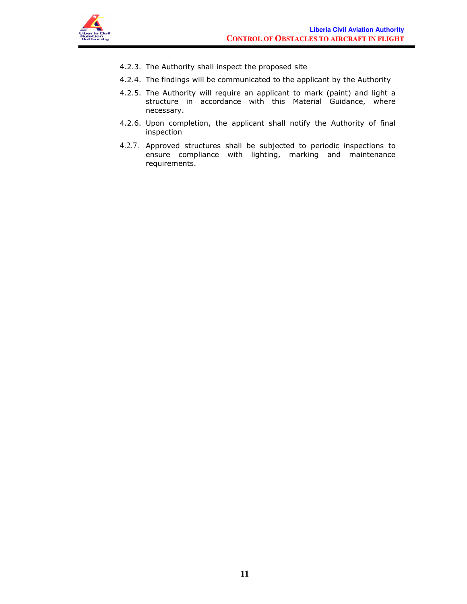

- 4.2.3. The Authority shall inspect the proposed site
- 4.2.4. The findings will be communicated to the applicant by the Authority
- 4.2.5. The Authority will require an applicant to mark (paint) and light a structure in accordance with this Material Guidance, where necessary.
- 4.2.6. Upon completion, the applicant shall notify the Authority of final inspection
- 4.2.7. Approved structures shall be subjected to periodic inspections to ensure compliance with lighting, marking and maintenance requirements.